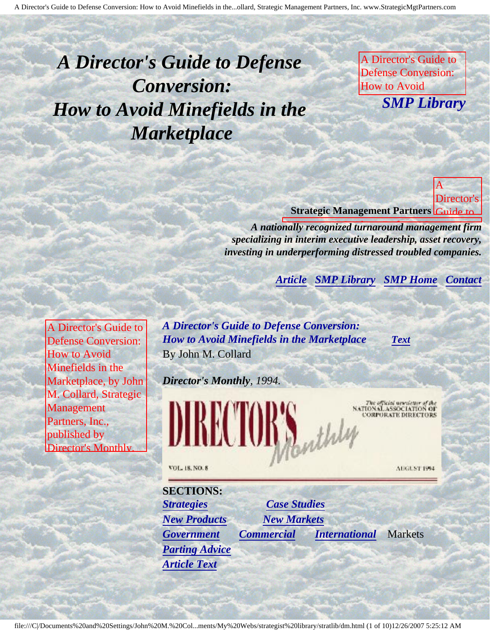# <span id="page-0-4"></span><span id="page-0-3"></span>*A Director's Guide to Defense Conversion: How to Avoid Minefields in the Marketplace*

A Director's Guide to Defense Conversion: How to Avoid **SMP Lih** *SMP Library*

Marketplace, by John M. Collard, Strategic Management Partners,

Avoid

in the

by John

Collard, Strategic

Partners,

Director's **Monthly** National Association

Corporate Directors

by

of

Marketplace,

Management

Inc., published by Director's Monthly, National Association

of Corporate Directors Director's **Strategic Management Partners** Guide to A

Defense A Director's Guide to Defense Conversion: *A nationally recognized turnaround management firm* specializing in interim executive leadership, asset recovery, *investing in underperforming distressed troubled companies.* 

of Corporate Directors

**[Article](#page-0-0) [SMP Library](http://members.aol.com/stratlib3/libindx.html#TOP) [SMP Home](http://members.aol.com/strategist/home.html#TOP) [Contact](#page-8-0)** Management Partners, Inc., published by

<span id="page-0-2"></span><span id="page-0-0"></span>A Director's Guide to Defense Conversion: How to Avoid Minefields in the Marketplace, by John M. Collard, Strategic Management Partners, Inc., published by Director's Monthly,

National Association

<span id="page-0-1"></span>**Corporate Corporate** 

*A Director's Guide to Defense Conversion: How to Avoid Minefields in the Marketplace [Text](#page-0-1)* By John M. Collard

*Director's Monthly, 1994.*



Inc., published

VOL. 18, NO. 8

**SECTIONS:** *[Strategies](#page-3-0) [Case Studies](#page-6-0) [New Products](#page-1-0) [New Markets](#page-1-1) [Government](#page-3-1) [Commercial](#page-4-0) [International](#page-4-1)* Markets *[Parting Advice](#page-5-0) [Article Text](#page-0-1)*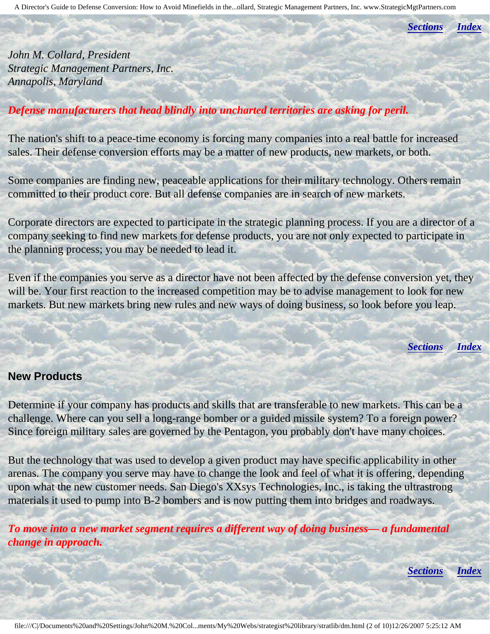*[Sections](#page-0-2) [Index](#page-0-3)*

*John M. Collard, President Strategic Management Partners, Inc. Annapolis, Maryland*

## *Defense manufacturers that head blindly into uncharted territories are asking for peril.*

The nation's shift to a peace-time economy is forcing many companies into a real battle for increased sales. Their defense conversion efforts may be a matter of new products, new markets, or both.

Some companies are finding new, peaceable applications for their military technology. Others remain committed to their product core. But all defense companies are in search of new markets.

Corporate directors are expected to participate in the strategic planning process. If you are a director of a company seeking to find new markets for defense products, you are not only expected to participate in the planning process; you may be needed to lead it.

Even if the companies you serve as a director have not been affected by the defense conversion yet, they will be. Your first reaction to the increased competition may be to advise management to look for new markets. But new markets bring new rules and new ways of doing business, so look before you leap.

*[Sections](#page-0-2) [Index](#page-0-3)*

#### <span id="page-1-0"></span>**New Products**

Determine if your company has products and skills that are transferable to new markets. This can be a challenge. Where can you sell a long-range bomber or a guided missile system? To a foreign power? Since foreign military sales are governed by the Pentagon, you probably don't have many choices.

But the technology that was used to develop a given product may have specific applicability in other arenas. The company you serve may have to change the look and feel of what it is offering, depending upon what the new customer needs. San Diego's XXsys Technologies, Inc., is taking the ultrastrong materials it used to pump into B-2 bombers and is now putting them into bridges and roadways.

<span id="page-1-1"></span>*To move into a new market segment requires a different way of doing business— a fundamental change in approach.*

*[Sections](#page-0-2) [Index](#page-0-3)*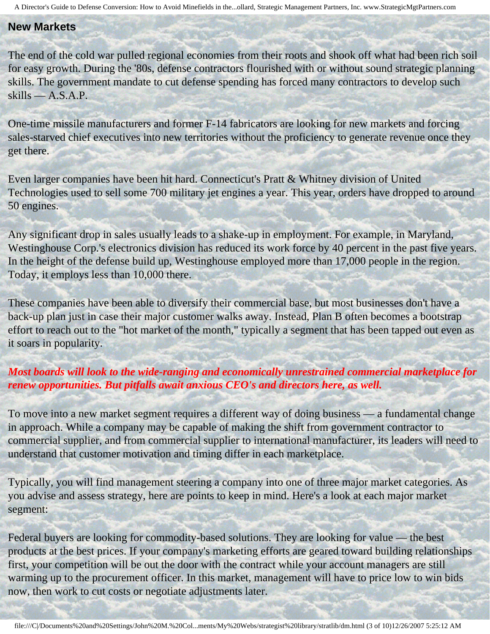#### **New Markets**

The end of the cold war pulled regional economies from their roots and shook off what had been rich soil for easy growth. During the '80s, defense contractors flourished with or without sound strategic planning skills. The government mandate to cut defense spending has forced many contractors to develop such skills — A.S.A.P.

One-time missile manufacturers and former F-14 fabricators are looking for new markets and forcing sales-starved chief executives into new territories without the proficiency to generate revenue once they get there.

Even larger companies have been hit hard. Connecticut's Pratt & Whitney division of United Technologies used to sell some 700 military jet engines a year. This year, orders have dropped to around 50 engines.

Any significant drop in sales usually leads to a shake-up in employment. For example, in Maryland, Westinghouse Corp.'s electronics division has reduced its work force by 40 percent in the past five years. In the height of the defense build up, Westinghouse employed more than 17,000 people in the region. Today, it employs less than 10,000 there.

These companies have been able to diversify their commercial base, but most businesses don't have a back-up plan just in case their major customer walks away. Instead, Plan B often becomes a bootstrap effort to reach out to the "hot market of the month," typically a segment that has been tapped out even as it soars in popularity.

## *Most boards will look to the wide-ranging and economically unrestrained commercial marketplace for renew opportunities. But pitfalls await anxious CEO's and directors here, as well.*

To move into a new market segment requires a different way of doing business — a fundamental change in approach. While a company may be capable of making the shift from government contractor to commercial supplier, and from commercial supplier to international manufacturer, its leaders will need to understand that customer motivation and timing differ in each marketplace.

Typically, you will find management steering a company into one of three major market categories. As you advise and assess strategy, here are points to keep in mind. Here's a look at each major market segment:

Federal buyers are looking for commodity-based solutions. They are looking for value — the best products at the best prices. If your company's marketing efforts are geared toward building relationships first, your competition will be out the door with the contract while your account managers are still warming up to the procurement officer. In this market, management will have to price low to win bids now, then work to cut costs or negotiate adjustments later.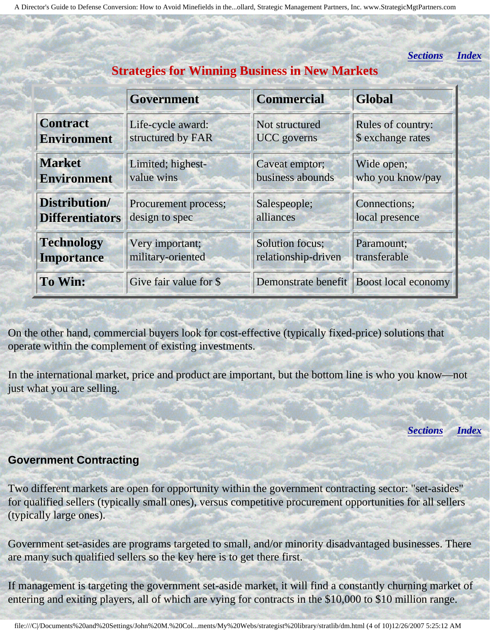*[Sections](#page-0-2) [Index](#page-0-3)*

<span id="page-3-0"></span>

|                        | <b>Government</b>      | <b>Commercial</b>   | <b>Global</b>                             |
|------------------------|------------------------|---------------------|-------------------------------------------|
| <b>Contract</b>        | Life-cycle award:      | Not structured      | Rules of country:                         |
| <b>Environment</b>     | structured by FAR      | <b>UCC</b> governs  | \$ exchange rates                         |
| <b>Market</b>          | Limited; highest-      | Caveat emptor;      | Wide open;                                |
| <b>Environment</b>     | value wins             | business abounds    | who you know/pay                          |
| Distribution/          | Procurement process;   | Salespeople;        | Connections;                              |
| <b>Differentiators</b> | design to spec         | alliances           | local presence                            |
| <b>Technology</b>      | Very important;        | Solution focus;     | Paramount;                                |
| <b>Importance</b>      | military-oriented      | relationship-driven | transferable                              |
| <b>To Win:</b>         | Give fair value for \$ |                     | Demonstrate benefit   Boost local economy |

**Strategies for Winning Business in New Markets**

On the other hand, commercial buyers look for cost-effective (typically fixed-price) solutions that operate within the complement of existing investments.

In the international market, price and product are important, but the bottom line is who you know—not just what you are selling.

*[Sections](#page-0-2) [Index](#page-0-3)*

#### <span id="page-3-1"></span>**Government Contracting**

Two different markets are open for opportunity within the government contracting sector: "set-asides" for qualified sellers (typically small ones), versus competitive procurement opportunities for all sellers (typically large ones).

Government set-asides are programs targeted to small, and/or minority disadvantaged businesses. There are many such qualified sellers so the key here is to get there first.

If management is targeting the government set-aside market, it will find a constantly churning market of entering and exiting players, all of which are vying for contracts in the \$10,000 to \$10 million range.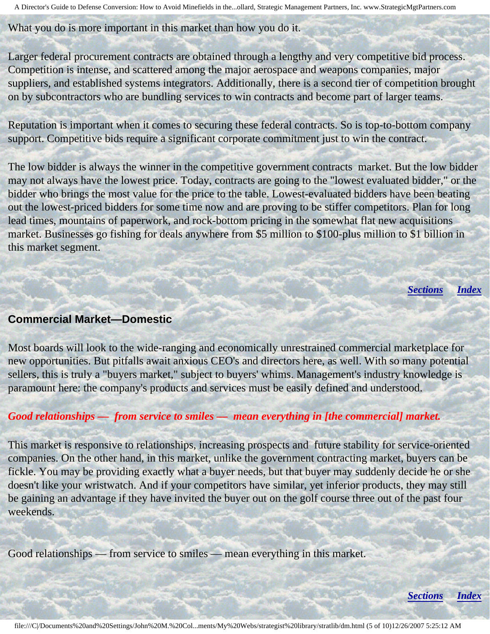What you do is more important in this market than how you do it.

Larger federal procurement contracts are obtained through a lengthy and very competitive bid process. Competition is intense, and scattered among the major aerospace and weapons companies, major suppliers, and established systems integrators. Additionally, there is a second tier of competition brought on by subcontractors who are bundling services to win contracts and become part of larger teams.

Reputation is important when it comes to securing these federal contracts. So is top-to-bottom company support. Competitive bids require a significant corporate commitment just to win the contract.

The low bidder is always the winner in the competitive government contracts market. But the low bidder may not always have the lowest price. Today, contracts are going to the "lowest evaluated bidder," or the bidder who brings the most value for the price to the table. Lowest-evaluated bidders have been beating out the lowest-priced bidders for some time now and are proving to be stiffer competitors. Plan for long lead times, mountains of paperwork, and rock-bottom pricing in the somewhat flat new acquisitions market. Businesses go fishing for deals anywhere from \$5 million to \$100-plus million to \$1 billion in this market segment.

*[Sections](#page-0-2) [Index](#page-0-3)*

*[Sections](#page-0-2) [Index](#page-0-3)*

#### <span id="page-4-0"></span>**Commercial Market—Domestic**

Most boards will look to the wide-ranging and economically unrestrained commercial marketplace for new opportunities. But pitfalls await anxious CEO's and directors here, as well. With so many potential sellers, this is truly a "buyers market," subject to buyers' whims. Management's industry knowledge is paramount here: the company's products and services must be easily defined and understood.

## *Good relationships — from service to smiles — mean everything in [the commercial] market.*

This market is responsive to relationships, increasing prospects and future stability for service-oriented companies. On the other hand, in this market, unlike the government contracting market, buyers can be fickle. You may be providing exactly what a buyer needs, but that buyer may suddenly decide he or she doesn't like your wristwatch. And if your competitors have similar, yet inferior products, they may still be gaining an advantage if they have invited the buyer out on the golf course three out of the past four weekends.

<span id="page-4-1"></span>Good relationships — from service to smiles — mean everything in this market.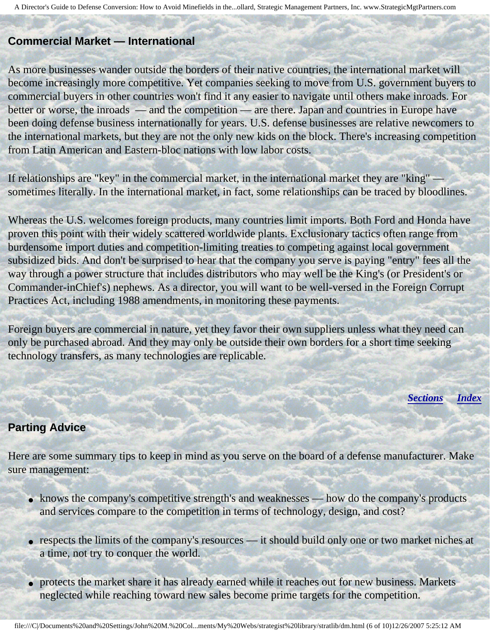#### **Commercial Market — International**

As more businesses wander outside the borders of their native countries, the international market will become increasingly more competitive. Yet companies seeking to move from U.S. government buyers to commercial buyers in other countries won't find it any easier to navigate until others make inroads. For better or worse, the inroads — and the competition — are there. Japan and countries in Europe have been doing defense business internationally for years. U.S. defense businesses are relative newcomers to the international markets, but they are not the only new kids on the block. There's increasing competition from Latin American and Eastern-bloc nations with low labor costs.

If relationships are "key" in the commercial market, in the international market they are "king" sometimes literally. In the international market, in fact, some relationships can be traced by bloodlines.

Whereas the U.S. welcomes foreign products, many countries limit imports. Both Ford and Honda have proven this point with their widely scattered worldwide plants. Exclusionary tactics often range from burdensome import duties and competition-limiting treaties to competing against local government subsidized bids. And don't be surprised to hear that the company you serve is paying "entry" fees all the way through a power structure that includes distributors who may well be the King's (or President's or Commander-inChief's) nephews. As a director, you will want to be well-versed in the Foreign Corrupt Practices Act, including 1988 amendments, in monitoring these payments.

Foreign buyers are commercial in nature, yet they favor their own suppliers unless what they need can only be purchased abroad. And they may only be outside their own borders for a short time seeking technology transfers, as many technologies are replicable.

*[Sections](#page-0-2) [Index](#page-0-3)*

#### <span id="page-5-0"></span>**Parting Advice**

Here are some summary tips to keep in mind as you serve on the board of a defense manufacturer. Make sure management:

- knows the company's competitive strength's and weaknesses how do the company's products and services compare to the competition in terms of technology, design, and cost?
- respects the limits of the company's resources it should build only one or two market niches at a time, not try to conquer the world.
- protects the market share it has already earned while it reaches out for new business. Markets neglected while reaching toward new sales become prime targets for the competition.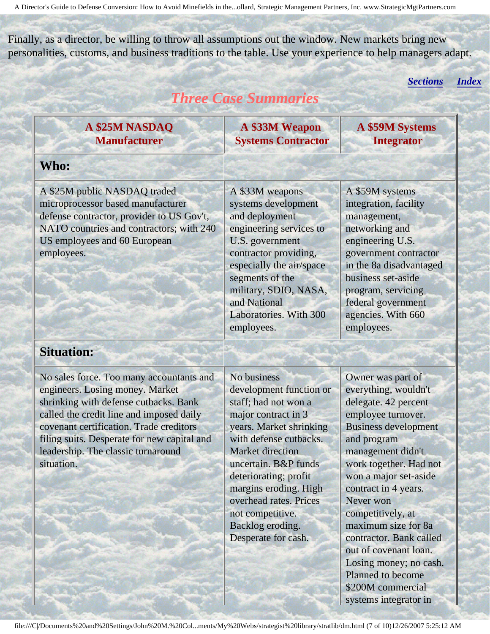<span id="page-6-0"></span>Finally, as a director, be willing to throw all assumptions out the window. New markets bring new personalities, customs, and business traditions to the table. Use your experience to help managers adapt.

*[Sections](#page-0-2) [Index](#page-0-3)*

## *Three Case Summaries*

**A \$25M NASDAQ Manufacturer**

**A \$33M Weapon Systems Contractor**

A \$33M weapons

**A \$59M Systems Integrator**

## **Who:**

A \$25M public NASDAQ traded microprocessor based manufacturer defense contractor, provider to US Gov't, NATO countries and contractors; with 240 US employees and 60 European employees.

systems development and deployment engineering services to U.S. government contractor providing, especially the air/space segments of the military, SDIO, NASA, and National Laboratories. With 300 employees.

A \$59M systems integration, facility management, networking and engineering U.S. government contractor in the 8a disadvantaged business set-aside program, servicing federal government agencies. With 660 employees.

## **Situation:**

No sales force. Too many accountants and engineers. Losing money. Market shrinking with defense cutbacks. Bank called the credit line and imposed daily covenant certification. Trade creditors filing suits. Desperate for new capital and leadership. The classic turnaround situation.

No business development function or staff; had not won a major contract in 3 years. Market shrinking with defense cutbacks. Market direction uncertain. B&P funds deteriorating; profit margins eroding. High overhead rates. Prices not competitive. Backlog eroding. Desperate for cash.

Owner was part of everything, wouldn't delegate. 42 percent employee turnover. Business development and program management didn't work together. Had not won a major set-aside contract in 4 years. Never won competitively, at maximum size for 8a contractor. Bank called out of covenant loan. Losing money; no cash. Planned to become \$200M commercial systems integrator in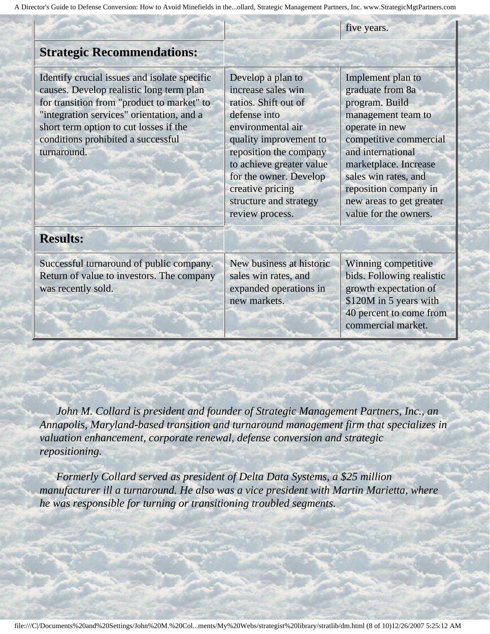five years.

## **Strategic Recommendations:**

Identify crucial issues and isolate specific causes. Develop realistic long term plan for transition from "product to market" to "integration services" orientation, and a short term option to cut losses if the conditions prohibited a successful turnaround.

Develop a plan to increase sales win ratios. Shift out of defense into environmental air quality improvement to reposition the company to achieve greater value for the owner. Develop creative pricing structure and strategy review process.

Implement plan to graduate from 8a program. Build management team to operate in new competitive commercial and international marketplace. Increase sales win rates, and reposition company in new areas to get greater value for the owners.

## **Results:**

Successful turnaround of public company. Return of value to investors. The company was recently sold.

New business at historic sales win rates, and expanded operations in new markets.

Winning competitive bids. Following realistic growth expectation of \$120M in 5 years with 40 percent to come from commercial market.

 *John M. Collard is president and founder of Strategic Management Partners, Inc., an Annapolis, Maryland-based transition and turnaround management firm that specializes in valuation enhancement, corporate renewal, defense conversion and strategic repositioning.* 

 *Formerly Collard served as president of Delta Data Systems, a \$25 million manufacturer ill a turnaround. He also was a vice president with Martin Marietta, where he was responsible for turning or transitioning troubled segments.*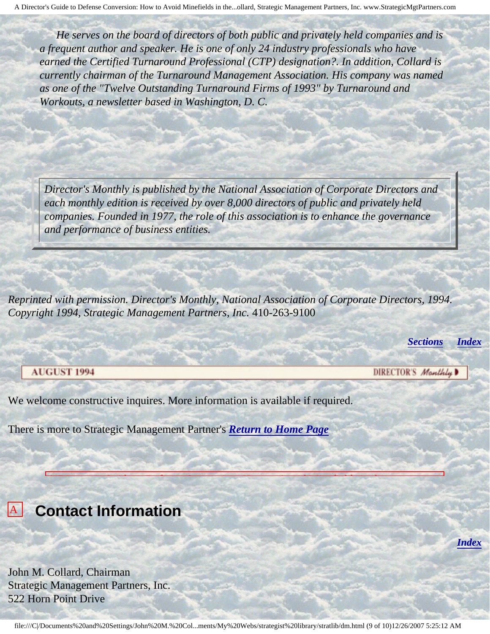*He serves on the board of directors of both public and privately held companies and is a frequent author and speaker. He is one of only 24 industry professionals who have earned the Certified Turnaround Professional (CTP) designation?. In addition, Collard is currently chairman of the Turnaround Management Association. His company was named as one of the "Twelve Outstanding Turnaround Firms of 1993" by Turnaround and Workouts, a newsletter based in Washington, D. C.* 

*Director's Monthly is published by the National Association of Corporate Directors and each monthly edition is received by over 8,000 directors of public and privately held companies. Founded in 1977, the role of this association is to enhance the governance and performance of business entities.*

*Reprinted with permission. Director's Monthly, National Association of Corporate Directors, 1994. Copyright 1994, Strategic Management Partners, Inc.* 410-263-9100

A Director's Guide to Defense Conversion: How to Avoid Minefields in the

Marketplace, by John M. Collard, Strategic Management Partners, Inc., published by

*[Sections](#page-0-2) [Index](#page-0-3)*

*[Index](#page-0-3)*

#### **AUGUST 1994**

**Builde** 

DIRECTOR'S Manthly

We welcome constructive inquires. More information is available if required.

There is more to Strategic Management Partner's *[Return to Home Page](http://members.aol.com/strategist/home.html#TOP)*

## <span id="page-8-0"></span>**A** Contact Information **Contact Information** Director's

Defense John M. Collard, Chairman Strategic Management Partners, Inc. 522 Horn Point Drive